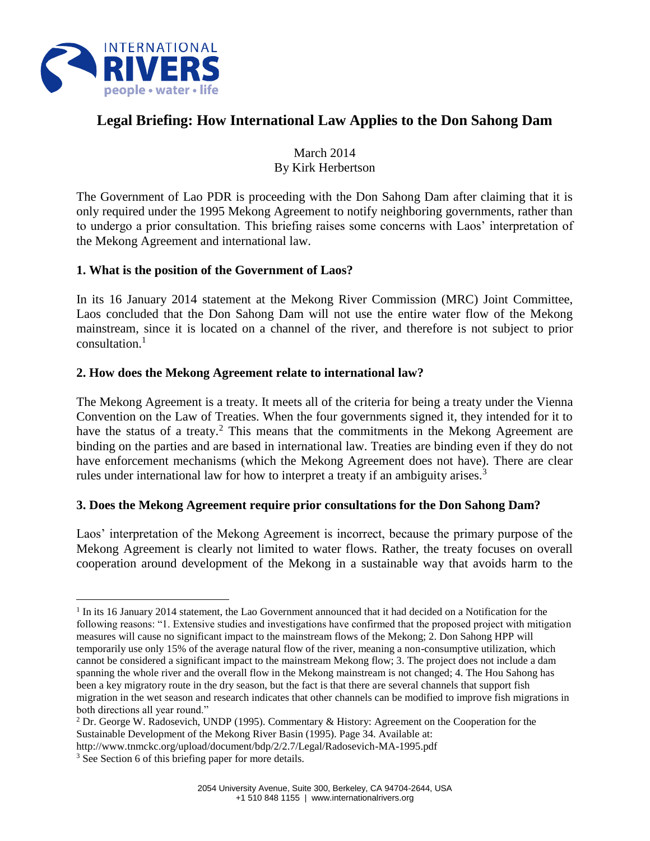

# **Legal Briefing: How International Law Applies to the Don Sahong Dam**

March 2014 By Kirk Herbertson

The Government of Lao PDR is proceeding with the Don Sahong Dam after claiming that it is only required under the 1995 Mekong Agreement to notify neighboring governments, rather than to undergo a prior consultation. This briefing raises some concerns with Laos' interpretation of the Mekong Agreement and international law.

#### **1. What is the position of the Government of Laos?**

In its 16 January 2014 statement at the Mekong River Commission (MRC) Joint Committee, Laos concluded that the Don Sahong Dam will not use the entire water flow of the Mekong mainstream, since it is located on a channel of the river, and therefore is not subject to prior consultation.<sup>1</sup>

## **2. How does the Mekong Agreement relate to international law?**

The Mekong Agreement is a treaty. It meets all of the criteria for being a treaty under the Vienna Convention on the Law of Treaties. When the four governments signed it, they intended for it to have the status of a treaty.<sup>2</sup> This means that the commitments in the Mekong Agreement are binding on the parties and are based in international law. Treaties are binding even if they do not have enforcement mechanisms (which the Mekong Agreement does not have). There are clear rules under international law for how to interpret a treaty if an ambiguity arises.<sup>3</sup>

# **3. Does the Mekong Agreement require prior consultations for the Don Sahong Dam?**

Laos' interpretation of the Mekong Agreement is incorrect, because the primary purpose of the Mekong Agreement is clearly not limited to water flows. Rather, the treaty focuses on overall cooperation around development of the Mekong in a sustainable way that avoids harm to the

 $\overline{a}$ 

<sup>&</sup>lt;sup>1</sup> In its 16 January 2014 statement, the Lao Government announced that it had decided on a Notification for the following reasons: "1. Extensive studies and investigations have confirmed that the proposed project with mitigation measures will cause no significant impact to the mainstream flows of the Mekong; 2. Don Sahong HPP will temporarily use only 15% of the average natural flow of the river, meaning a non-consumptive utilization, which cannot be considered a significant impact to the mainstream Mekong flow; 3. The project does not include a dam spanning the whole river and the overall flow in the Mekong mainstream is not changed; 4. The Hou Sahong has been a key migratory route in the dry season, but the fact is that there are several channels that support fish migration in the wet season and research indicates that other channels can be modified to improve fish migrations in both directions all year round."

<sup>2</sup> Dr. George W. Radosevich, UNDP (1995). Commentary & History: Agreement on the Cooperation for the Sustainable Development of the Mekong River Basin (1995). Page 34. Available at:

http://www.tnmckc.org/upload/document/bdp/2/2.7/Legal/Radosevich-MA-1995.pdf

<sup>&</sup>lt;sup>3</sup> See Section 6 of this briefing paper for more details.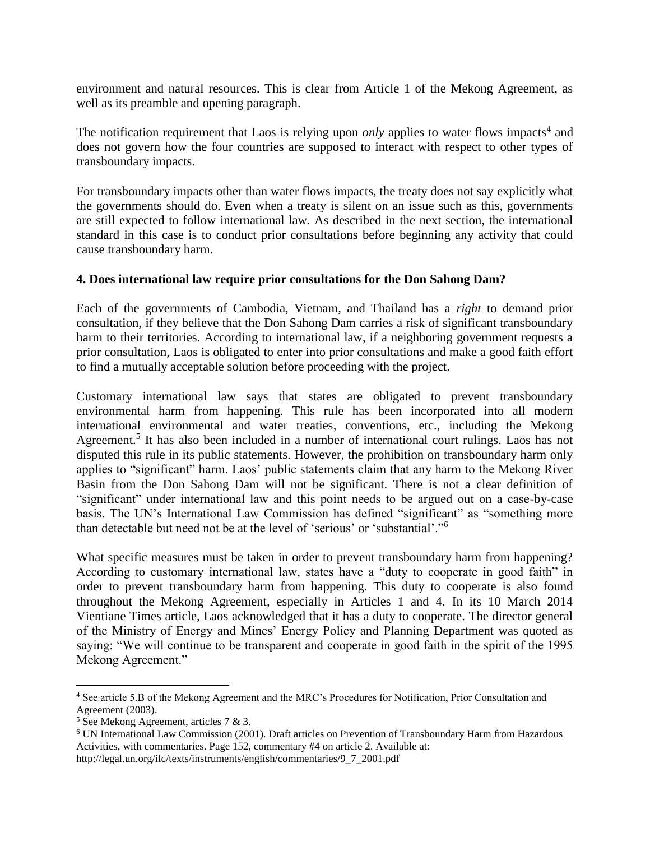environment and natural resources. This is clear from Article 1 of the Mekong Agreement, as well as its preamble and opening paragraph.

The notification requirement that Laos is relying upon *only* applies to water flows impacts<sup>4</sup> and does not govern how the four countries are supposed to interact with respect to other types of transboundary impacts.

For transboundary impacts other than water flows impacts, the treaty does not say explicitly what the governments should do. Even when a treaty is silent on an issue such as this, governments are still expected to follow international law. As described in the next section, the international standard in this case is to conduct prior consultations before beginning any activity that could cause transboundary harm.

#### **4. Does international law require prior consultations for the Don Sahong Dam?**

Each of the governments of Cambodia, Vietnam, and Thailand has a *right* to demand prior consultation, if they believe that the Don Sahong Dam carries a risk of significant transboundary harm to their territories. According to international law, if a neighboring government requests a prior consultation, Laos is obligated to enter into prior consultations and make a good faith effort to find a mutually acceptable solution before proceeding with the project.

Customary international law says that states are obligated to prevent transboundary environmental harm from happening. This rule has been incorporated into all modern international environmental and water treaties, conventions, etc., including the Mekong Agreement.<sup>5</sup> It has also been included in a number of international court rulings. Laos has not disputed this rule in its public statements. However, the prohibition on transboundary harm only applies to "significant" harm. Laos' public statements claim that any harm to the Mekong River Basin from the Don Sahong Dam will not be significant. There is not a clear definition of "significant" under international law and this point needs to be argued out on a case-by-case basis. The UN's International Law Commission has defined "significant" as "something more than detectable but need not be at the level of 'serious' or 'substantial'."<sup>6</sup>

What specific measures must be taken in order to prevent transboundary harm from happening? According to customary international law, states have a "duty to cooperate in good faith" in order to prevent transboundary harm from happening. This duty to cooperate is also found throughout the Mekong Agreement, especially in Articles 1 and 4. In its 10 March 2014 Vientiane Times article, Laos acknowledged that it has a duty to cooperate. The director general of the Ministry of Energy and Mines' Energy Policy and Planning Department was quoted as saying: "We will continue to be transparent and cooperate in good faith in the spirit of the 1995 Mekong Agreement."

 $\overline{a}$ 

<sup>4</sup> See article 5.B of the Mekong Agreement and the MRC's Procedures for Notification, Prior Consultation and Agreement (2003).

<sup>5</sup> See Mekong Agreement, articles 7 & 3.

<sup>6</sup> UN International Law Commission (2001). Draft articles on Prevention of Transboundary Harm from Hazardous Activities, with commentaries. Page 152, commentary #4 on article 2. Available at:

http://legal.un.org/ilc/texts/instruments/english/commentaries/9\_7\_2001.pdf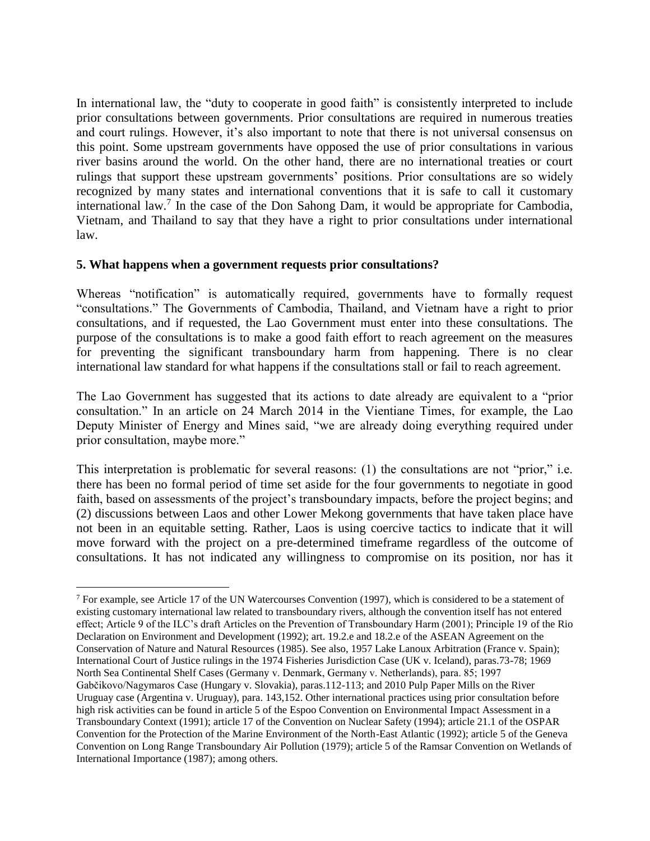In international law, the "duty to cooperate in good faith" is consistently interpreted to include prior consultations between governments. Prior consultations are required in numerous treaties and court rulings. However, it's also important to note that there is not universal consensus on this point. Some upstream governments have opposed the use of prior consultations in various river basins around the world. On the other hand, there are no international treaties or court rulings that support these upstream governments' positions. Prior consultations are so widely recognized by many states and international conventions that it is safe to call it customary international law.<sup>7</sup> In the case of the Don Sahong Dam, it would be appropriate for Cambodia, Vietnam, and Thailand to say that they have a right to prior consultations under international law.

## **5. What happens when a government requests prior consultations?**

 $\overline{a}$ 

Whereas "notification" is automatically required, governments have to formally request "consultations." The Governments of Cambodia, Thailand, and Vietnam have a right to prior consultations, and if requested, the Lao Government must enter into these consultations. The purpose of the consultations is to make a good faith effort to reach agreement on the measures for preventing the significant transboundary harm from happening. There is no clear international law standard for what happens if the consultations stall or fail to reach agreement.

The Lao Government has suggested that its actions to date already are equivalent to a "prior consultation." In an article on 24 March 2014 in the Vientiane Times, for example, the Lao Deputy Minister of Energy and Mines said, "we are already doing everything required under prior consultation, maybe more."

This interpretation is problematic for several reasons: (1) the consultations are not "prior," i.e. there has been no formal period of time set aside for the four governments to negotiate in good faith, based on assessments of the project's transboundary impacts, before the project begins; and (2) discussions between Laos and other Lower Mekong governments that have taken place have not been in an equitable setting. Rather, Laos is using coercive tactics to indicate that it will move forward with the project on a pre-determined timeframe regardless of the outcome of consultations. It has not indicated any willingness to compromise on its position, nor has it

<sup>&</sup>lt;sup>7</sup> For example, see Article 17 of the UN Watercourses Convention (1997), which is considered to be a statement of existing customary international law related to transboundary rivers, although the convention itself has not entered effect; Article 9 of the ILC's draft Articles on the Prevention of Transboundary Harm (2001); Principle 19 of the Rio Declaration on Environment and Development (1992); art. 19.2.e and 18.2.e of the ASEAN Agreement on the Conservation of Nature and Natural Resources (1985). See also, 1957 Lake Lanoux Arbitration (France v. Spain); International Court of Justice rulings in the 1974 Fisheries Jurisdiction Case (UK v. Iceland), paras.73-78; 1969 North Sea Continental Shelf Cases (Germany v. Denmark, Germany v. Netherlands), para. 85; 1997 Gabčikovo/Nagymaros Case (Hungary v. Slovakia), paras.112-113; and 2010 Pulp Paper Mills on the River Uruguay case (Argentina v. Uruguay), para. 143,152. Other international practices using prior consultation before high risk activities can be found in article 5 of the Espoo Convention on Environmental Impact Assessment in a Transboundary Context (1991); article 17 of the Convention on Nuclear Safety (1994); article 21.1 of the OSPAR Convention for the Protection of the Marine Environment of the North-East Atlantic (1992); article 5 of the Geneva Convention on Long Range Transboundary Air Pollution (1979); article 5 of the Ramsar Convention on Wetlands of International Importance (1987); among others.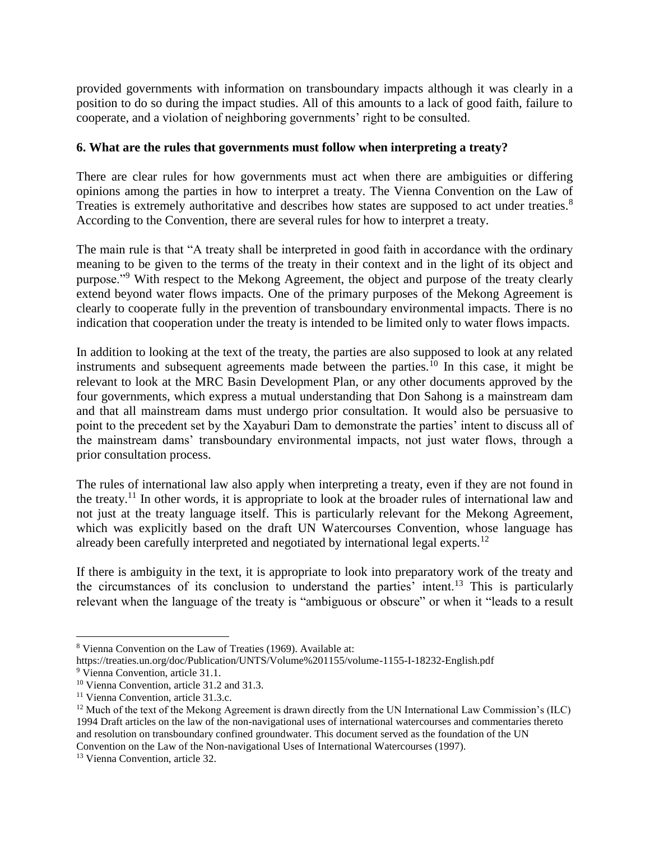provided governments with information on transboundary impacts although it was clearly in a position to do so during the impact studies. All of this amounts to a lack of good faith, failure to cooperate, and a violation of neighboring governments' right to be consulted.

#### **6. What are the rules that governments must follow when interpreting a treaty?**

There are clear rules for how governments must act when there are ambiguities or differing opinions among the parties in how to interpret a treaty. The Vienna Convention on the Law of Treaties is extremely authoritative and describes how states are supposed to act under treaties.<sup>8</sup> According to the Convention, there are several rules for how to interpret a treaty.

The main rule is that "A treaty shall be interpreted in good faith in accordance with the ordinary meaning to be given to the terms of the treaty in their context and in the light of its object and purpose."<sup>9</sup> With respect to the Mekong Agreement, the object and purpose of the treaty clearly extend beyond water flows impacts. One of the primary purposes of the Mekong Agreement is clearly to cooperate fully in the prevention of transboundary environmental impacts. There is no indication that cooperation under the treaty is intended to be limited only to water flows impacts.

In addition to looking at the text of the treaty, the parties are also supposed to look at any related instruments and subsequent agreements made between the parties.<sup>10</sup> In this case, it might be relevant to look at the MRC Basin Development Plan, or any other documents approved by the four governments, which express a mutual understanding that Don Sahong is a mainstream dam and that all mainstream dams must undergo prior consultation. It would also be persuasive to point to the precedent set by the Xayaburi Dam to demonstrate the parties' intent to discuss all of the mainstream dams' transboundary environmental impacts, not just water flows, through a prior consultation process.

The rules of international law also apply when interpreting a treaty, even if they are not found in the treaty.<sup>11</sup> In other words, it is appropriate to look at the broader rules of international law and not just at the treaty language itself. This is particularly relevant for the Mekong Agreement, which was explicitly based on the draft UN Watercourses Convention, whose language has already been carefully interpreted and negotiated by international legal experts.<sup>12</sup>

If there is ambiguity in the text, it is appropriate to look into preparatory work of the treaty and the circumstances of its conclusion to understand the parties' intent.<sup>13</sup> This is particularly relevant when the language of the treaty is "ambiguous or obscure" or when it "leads to a result

 $\overline{a}$ 

<sup>8</sup> Vienna Convention on the Law of Treaties (1969). Available at:

https://treaties.un.org/doc/Publication/UNTS/Volume%201155/volume-1155-I-18232-English.pdf

<sup>9</sup> Vienna Convention, article 31.1.

<sup>&</sup>lt;sup>10</sup> Vienna Convention, article 31.2 and 31.3.

<sup>&</sup>lt;sup>11</sup> Vienna Convention, article 31.3.c.

 $12$  Much of the text of the Mekong Agreement is drawn directly from the UN International Law Commission's (ILC) 1994 Draft articles on the law of the non-navigational uses of international watercourses and commentaries thereto and resolution on transboundary confined groundwater. This document served as the foundation of the UN Convention on the Law of the Non-navigational Uses of International Watercourses (1997).

<sup>&</sup>lt;sup>13</sup> Vienna Convention, article 32.